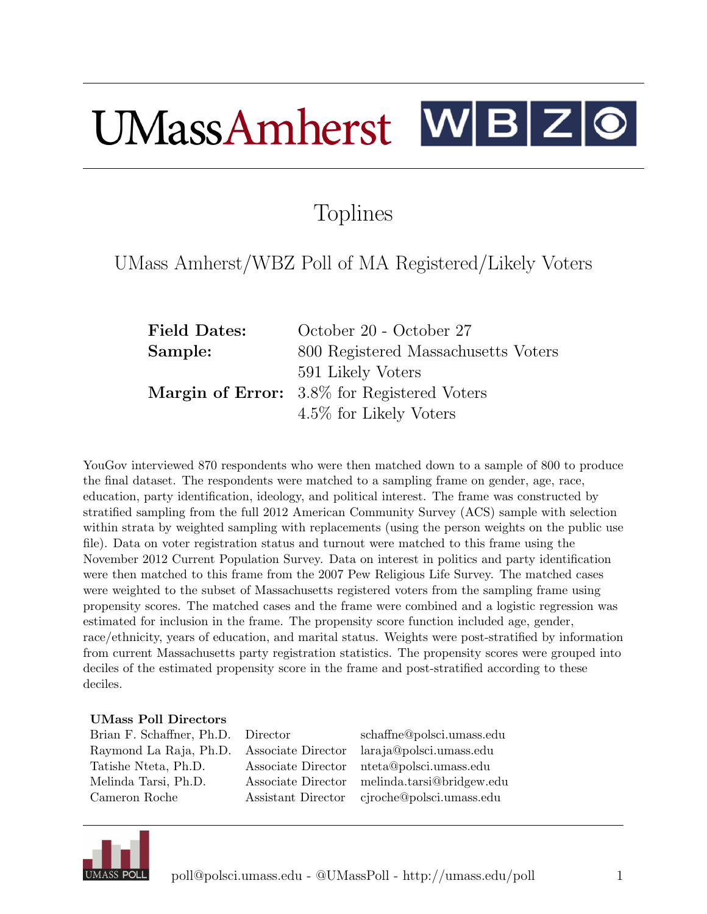## $UMassAmherst$   $W|B|Z|Q$

## Toplines

## UMass Amherst/WBZ Poll of MA Registered/Likely Voters

| <b>Field Dates:</b> | October 20 - October 27                     |
|---------------------|---------------------------------------------|
| Sample:             | 800 Registered Massachusetts Voters         |
|                     | 591 Likely Voters                           |
|                     | Margin of Error: 3.8% for Registered Voters |
|                     | 4.5\% for Likely Voters                     |

YouGov interviewed 870 respondents who were then matched down to a sample of 800 to produce the final dataset. The respondents were matched to a sampling frame on gender, age, race, education, party identification, ideology, and political interest. The frame was constructed by stratified sampling from the full 2012 American Community Survey (ACS) sample with selection within strata by weighted sampling with replacements (using the person weights on the public use file). Data on voter registration status and turnout were matched to this frame using the November 2012 Current Population Survey. Data on interest in politics and party identification were then matched to this frame from the 2007 Pew Religious Life Survey. The matched cases were weighted to the subset of Massachusetts registered voters from the sampling frame using propensity scores. The matched cases and the frame were combined and a logistic regression was estimated for inclusion in the frame. The propensity score function included age, gender, race/ethnicity, years of education, and marital status. Weights were post-stratified by information from current Massachusetts party registration statistics. The propensity scores were grouped into deciles of the estimated propensity score in the frame and post-stratified according to these deciles.

## UMass Poll Directors

| Brian F. Schaffner, Ph.D. Director |                    | schaffne@polsci.umass.edu |
|------------------------------------|--------------------|---------------------------|
| Raymond La Raja, Ph.D.             | Associate Director | laraja@polsci.umass.edu   |
| Tatishe Nteta, Ph.D.               | Associate Director | nteta@polsci.umass.edu    |
| Melinda Tarsi, Ph.D.               | Associate Director | melinda.tarsi@bridgew.edu |
| Cameron Roche                      | Assistant Director | cjroche@polsci.umass.edu  |
|                                    |                    |                           |

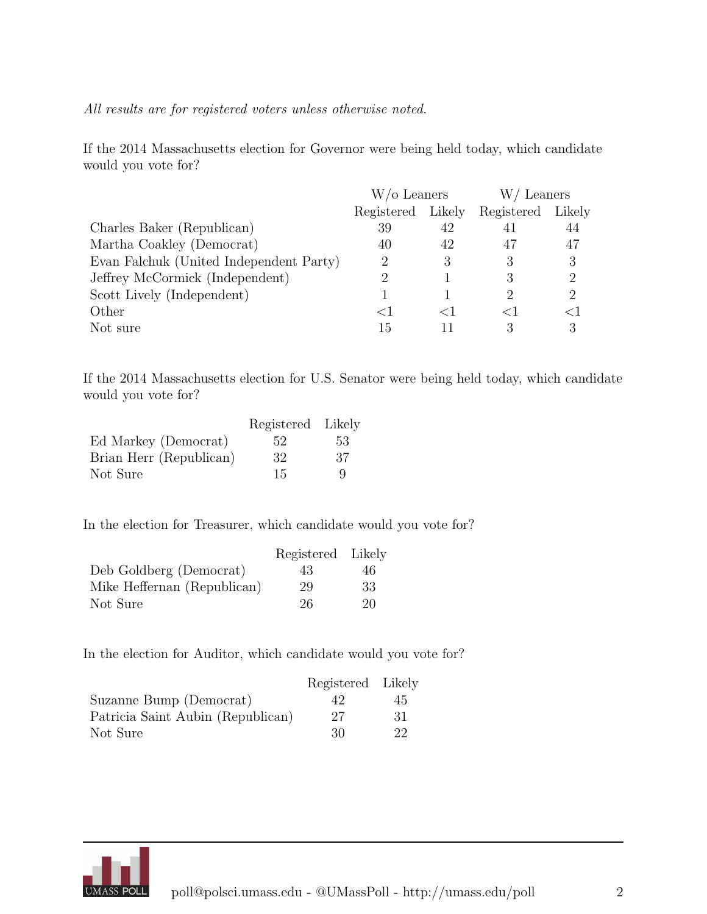All results are for registered voters unless otherwise noted.

If the 2014 Massachusetts election for Governor were being held today, which candidate would you vote for?

|                                         | W/o Leaners |        | W/Leaners         |                             |
|-----------------------------------------|-------------|--------|-------------------|-----------------------------|
|                                         | Registered  | Likely | Registered Likely |                             |
| Charles Baker (Republican)              | 39          | 42     | 41                | 44                          |
| Martha Coakley (Democrat)               | 40          | 42     | 47                | 47                          |
| Evan Falchuk (United Independent Party) | 2           | 3      | 3                 | 3                           |
| Jeffrey McCormick (Independent)         | $\dot{2}$   |        |                   | 2                           |
| Scott Lively (Independent)              |             |        |                   | $\mathcal{D}_{\mathcal{L}}$ |
| Other                                   | $\leq$ 1    |        |                   | $<$ 1                       |
| Not sure                                | 15          |        | З                 | 3                           |

If the 2014 Massachusetts election for U.S. Senator were being held today, which candidate would you vote for?

|                         | Registered Likely |     |
|-------------------------|-------------------|-----|
| Ed Markey (Democrat)    | 52                | 53  |
| Brian Herr (Republican) | 32                | -37 |
| Not Sure                | 15                | q   |

In the election for Treasurer, which candidate would you vote for?

|                             | Registered Likely |     |
|-----------------------------|-------------------|-----|
| Deb Goldberg (Democrat)     | 43                | 46  |
| Mike Heffernan (Republican) | 29                | -33 |
| Not Sure                    | 26                | 20  |

In the election for Auditor, which candidate would you vote for?

|                                   | Registered Likely |     |
|-----------------------------------|-------------------|-----|
| Suzanne Bump (Democrat)           | 42                | 45  |
| Patricia Saint Aubin (Republican) | 27                | -31 |
| Not Sure                          | 30                | 22  |

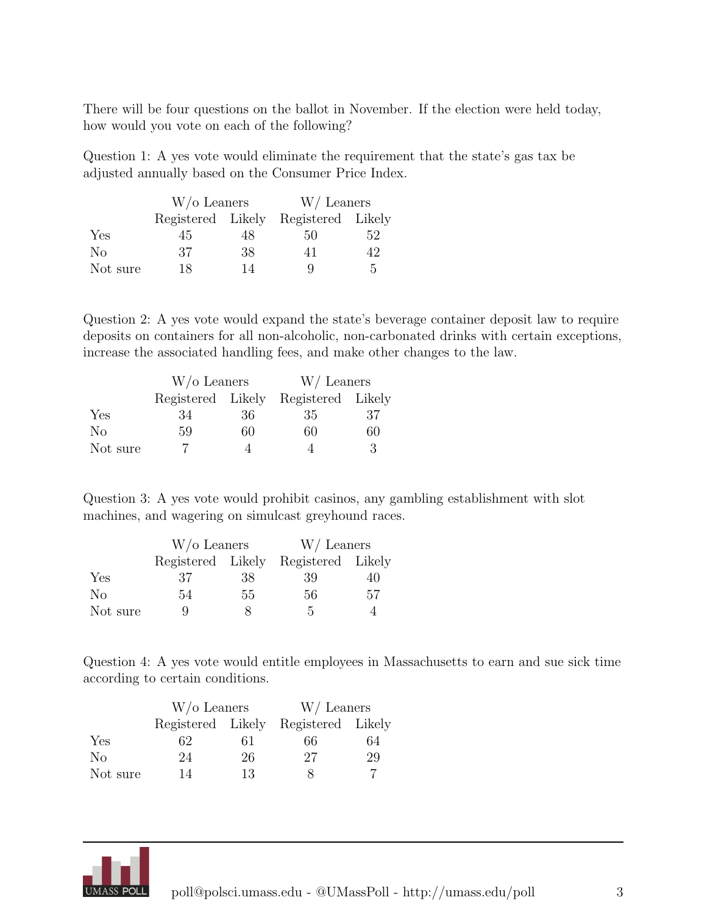There will be four questions on the ballot in November. If the election were held today, how would you vote on each of the following?

Question 1: A yes vote would eliminate the requirement that the state's gas tax be adjusted annually based on the Consumer Price Index.

|                | $W$ /o Leaners    |    | $W/$ Leaners      |     |
|----------------|-------------------|----|-------------------|-----|
|                | Registered Likely |    | Registered Likely |     |
| Yes            | 45                | 48 | 50                | 52  |
| N <sub>0</sub> | 37                | 38 | 41                | 42. |
| Not sure       | 18                | 14 | Q                 | 5   |

Question 2: A yes vote would expand the state's beverage container deposit law to require deposits on containers for all non-alcoholic, non-carbonated drinks with certain exceptions, increase the associated handling fees, and make other changes to the law.

|                | $W$ /o Leaners    |    | W/Leaners         |    |
|----------------|-------------------|----|-------------------|----|
|                | Registered Likely |    | Registered Likely |    |
| Yes            | 34                | 36 | 35                | 37 |
| N <sub>o</sub> | 59                | 60 | 60                | 60 |
| Not sure       |                   |    |                   | 3  |

Question 3: A yes vote would prohibit casinos, any gambling establishment with slot machines, and wagering on simulcast greyhound races.

|                | $W$ /o Leaners |    | W/Leaners                           |    |
|----------------|----------------|----|-------------------------------------|----|
|                |                |    | Registered Likely Registered Likely |    |
| Yes            | 37             | 38 | 39                                  | 40 |
| N <sub>0</sub> | 54             | 55 | 56                                  | 57 |
| Not sure       | g              | ×  | h.                                  |    |

Question 4: A yes vote would entitle employees in Massachusetts to earn and sue sick time according to certain conditions.

|                | $W$ /o Leaners |    | $W/$ Leaners                        |    |
|----------------|----------------|----|-------------------------------------|----|
|                |                |    | Registered Likely Registered Likely |    |
| Yes            | 62             | 61 | 66                                  | 64 |
| N <sub>0</sub> | 24             | 26 | 27                                  | 29 |
| Not sure       | 14             | 13 |                                     |    |

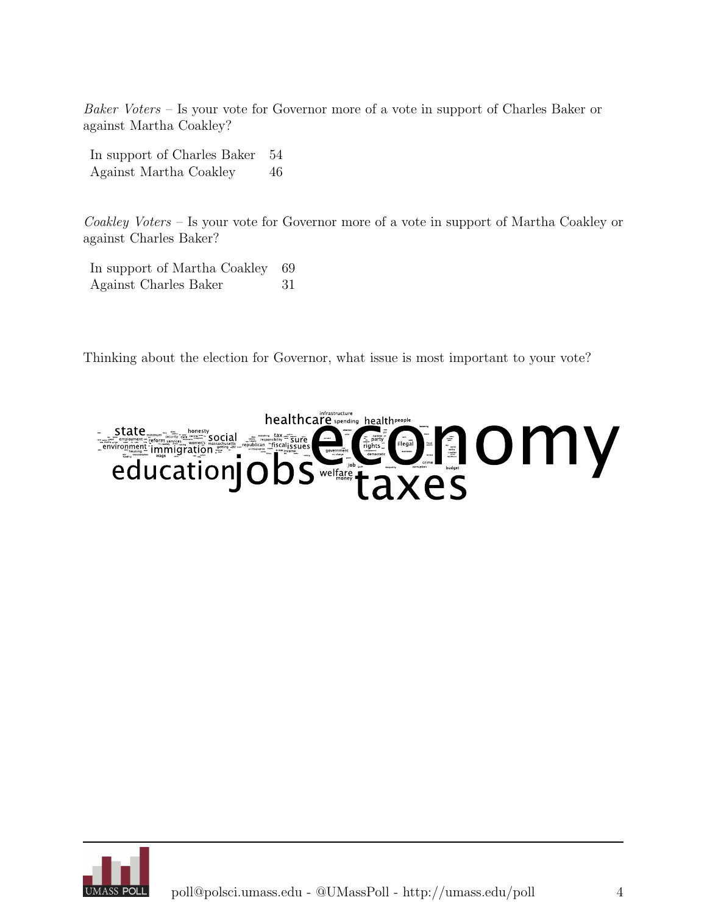Baker Voters – Is your vote for Governor more of a vote in support of Charles Baker or against Martha Coakley?

In support of Charles Baker 54 Against Martha Coakley 46

Coakley Voters – Is your vote for Governor more of a vote in support of Martha Coakley or against Charles Baker?

In support of Martha Coakley 69 Against Charles Baker 31

Thinking about the election for Governor, what issue is most important to your vote?



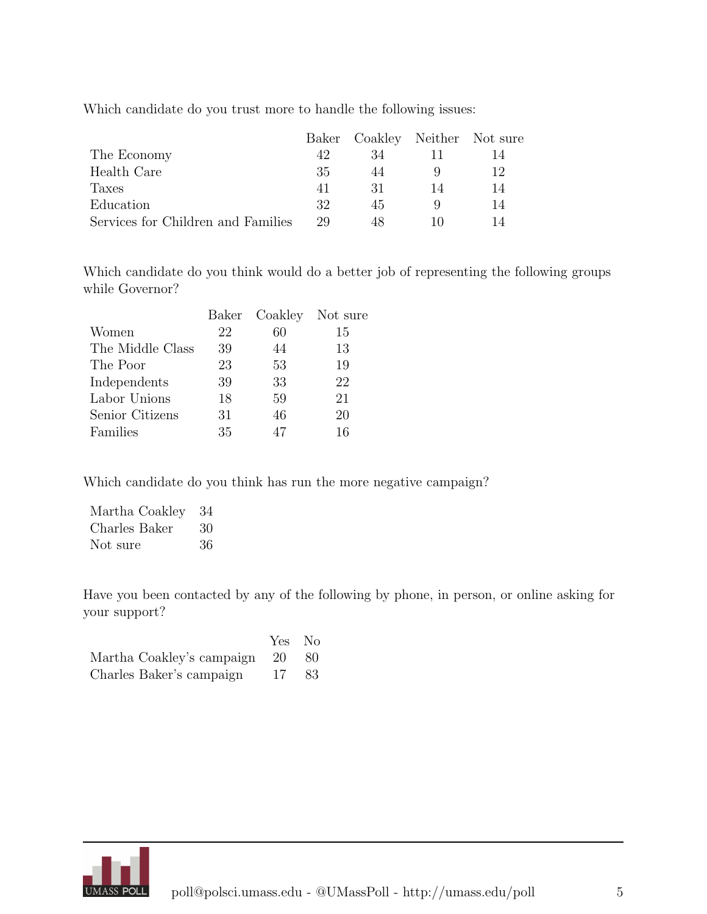Which candidate do you trust more to handle the following issues:

|                                    |    | Baker Coakley Neither Not sure |    |    |
|------------------------------------|----|--------------------------------|----|----|
| The Economy                        | 42 | 34                             |    |    |
| Health Care                        | 35 | 44                             |    | 12 |
| Taxes                              | 41 | 31                             | 14 | 14 |
| Education                          | 32 | 45                             |    | 14 |
| Services for Children and Families | 29 | 48                             |    | 14 |

Which candidate do you think would do a better job of representing the following groups while Governor?

|                  |    | Baker Coakley Not sure |    |
|------------------|----|------------------------|----|
| Women            | 22 | 60                     | 15 |
| The Middle Class | 39 | 44                     | 13 |
| The Poor         | 23 | 53                     | 19 |
| Independents     | 39 | 33                     | 22 |
| Labor Unions     | 18 | 59                     | 21 |
| Senior Citizens  | 31 | 46                     | 20 |
| Families         | 35 | 47                     | 16 |

Which candidate do you think has run the more negative campaign?

| Martha Coakley | 34 |
|----------------|----|
| Charles Baker  | 30 |
| Not sure       | 36 |

Have you been contacted by any of the following by phone, in person, or online asking for your support?

|                                 | Yes No |  |
|---------------------------------|--------|--|
| Martha Coakley's campaign 20 80 |        |  |
| Charles Baker's campaign        | 17 83  |  |

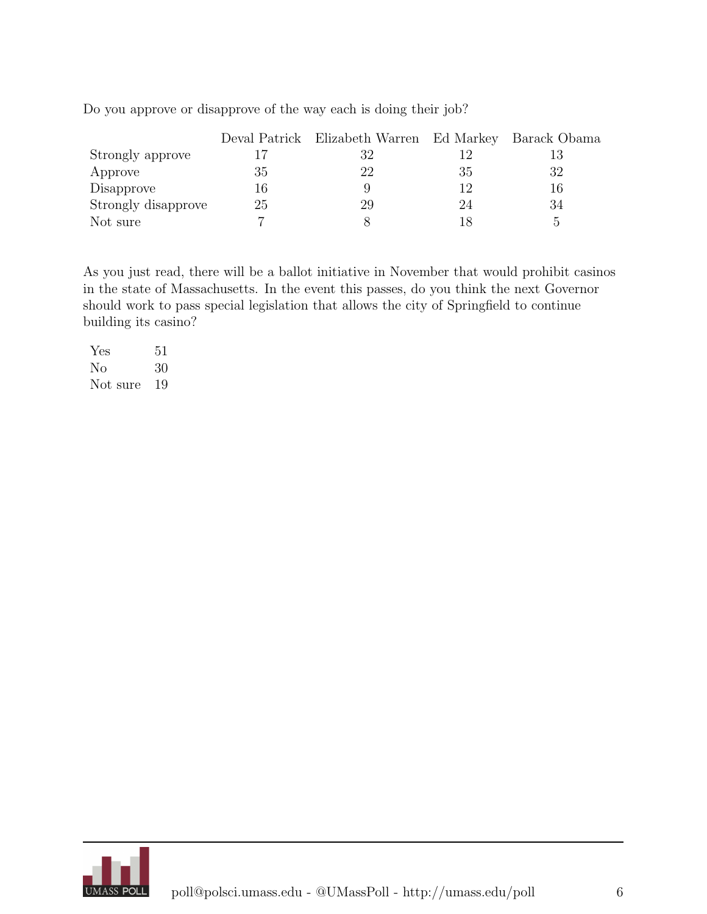|                     |    | Deval Patrick Elizabeth Warren Ed Markey Barack Obama |    |    |
|---------------------|----|-------------------------------------------------------|----|----|
| Strongly approve    |    | 32                                                    |    | 13 |
| Approve             | 35 | 22                                                    | 35 | 32 |
| Disapprove          | 16 |                                                       | 19 | 16 |
| Strongly disapprove | 25 | 29                                                    | 24 | 34 |
| Not sure            |    |                                                       |    | h, |

Do you approve or disapprove of the way each is doing their job?

As you just read, there will be a ballot initiative in November that would prohibit casinos in the state of Massachusetts. In the event this passes, do you think the next Governor should work to pass special legislation that allows the city of Springfield to continue building its casino?

Yes 51 No 30 Not sure 19